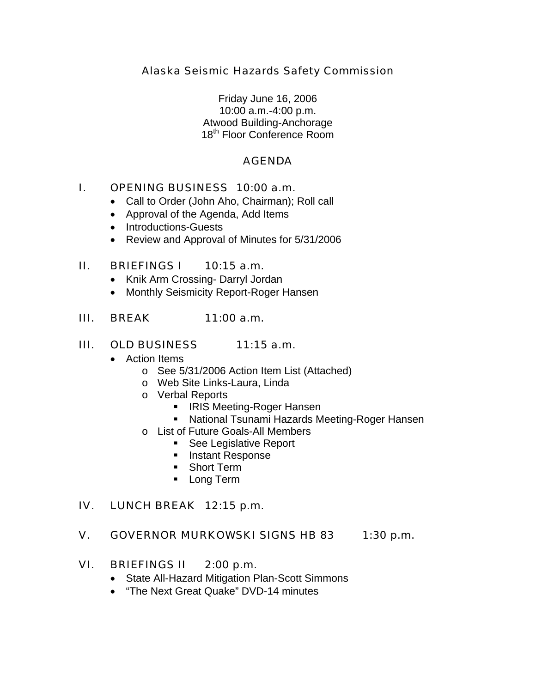## Alaska Seismic Hazards Safety Commission

Friday June 16, 2006 10:00 a.m.-4:00 p.m. Atwood Building-Anchorage 18<sup>th</sup> Floor Conference Room

### AGENDA

### I. OPENING BUSINESS 10:00 a.m.

- Call to Order (John Aho, Chairman); Roll call
- Approval of the Agenda, Add Items
- Introductions-Guests
- Review and Approval of Minutes for 5/31/2006

### II. BRIEFINGS I 10:15 a.m.

- Knik Arm Crossing- Darryl Jordan
- Monthly Seismicity Report-Roger Hansen

### III. BREAK 11:00 a.m.

#### III. OLD BUSINESS 11:15 a.m.

- Action Items
	- o See 5/31/2006 Action Item List (Attached)
	- o Web Site Links-Laura, Linda
	- o Verbal Reports
		- **IRIS Meeting-Roger Hansen**
		- National Tsunami Hazards Meeting-Roger Hansen
	- o List of Future Goals-All Members
		- **See Legislative Report**
		- **Instant Response**
		- **Short Term**
		- **Long Term**

## IV. LUNCH BREAK 12:15 p.m.

#### V. GOVERNOR MURKOWSKI SIGNS HB 83 1:30 p.m.

#### VI. BRIEFINGS II 2:00 p.m.

- State All-Hazard Mitigation Plan-Scott Simmons
- "The Next Great Quake" DVD-14 minutes